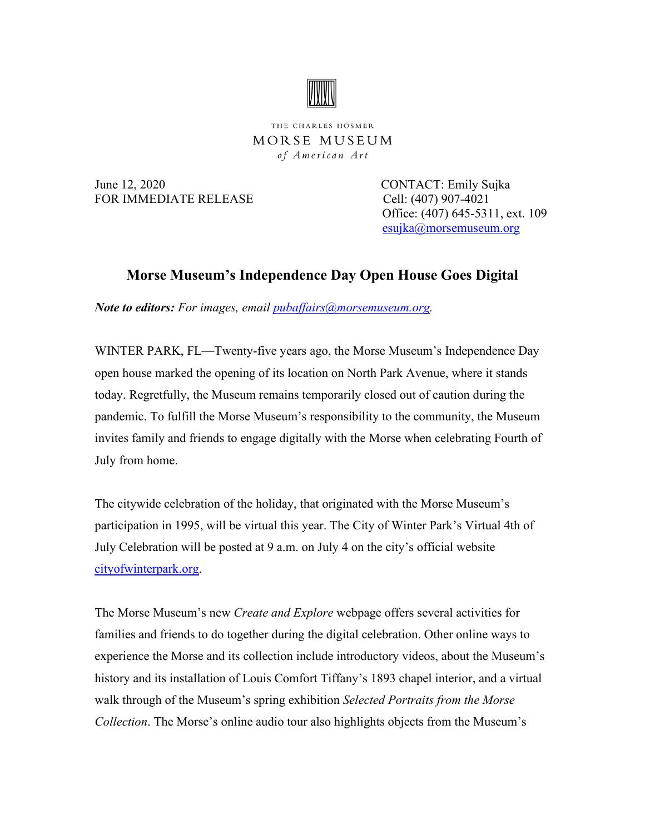

THE CHARLES HOSMER MORSE MUSEUM of American Art

June 12, 2020 CONTACT: Emily Sujka FOR IMMEDIATE RELEASE Cell: (407) 907-4021

 Office: (407) 645-5311, ext. 109 [esujka@morsemuseum.org](mailto:esujka@morsemuseum.org)

## **Morse Museum's Independence Day Open House Goes Digital**

*Note to editors: For images, email [pubaffairs@morsemuseum.org.](mailto:pubaffairs@morsemuseum.org)* 

WINTER PARK, FL—Twenty-five years ago, the Morse Museum's Independence Day open house marked the opening of its location on North Park Avenue, where it stands today. Regretfully, the Museum remains temporarily closed out of caution during the pandemic. To fulfill the Morse Museum's responsibility to the community, the Museum invites family and friends to engage digitally with the Morse when celebrating Fourth of July from home.

The citywide celebration of the holiday, that originated with the Morse Museum's participation in 1995, will be virtual this year. The City of Winter Park's Virtual 4th of July Celebration will be posted at 9 a.m. on July 4 on the city's official website [cityofwinterpark.org.](https://cityofwinterpark.org/)

The Morse Museum's new *Create and Explore* webpage offers several activities for families and friends to do together during the digital celebration. Other online ways to experience the Morse and its collection include introductory videos, about the Museum's history and its installation of Louis Comfort Tiffany's 1893 chapel interior, and a virtual walk through of the Museum's spring exhibition *Selected Portraits from the Morse Collection*. The Morse's online audio tour also highlights objects from the Museum's